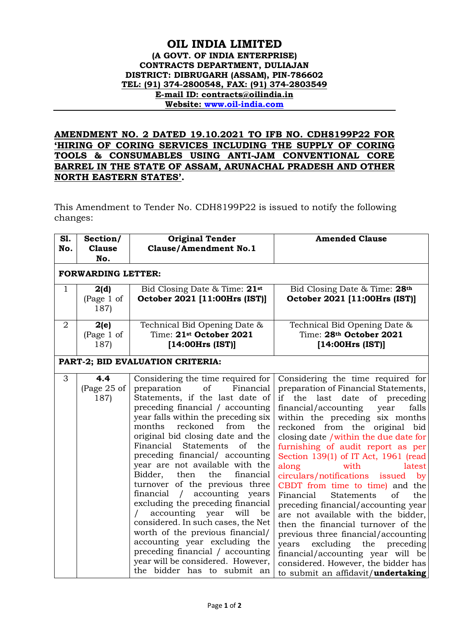## **OIL INDIA LIMITED (A GOVT. OF INDIA ENTERPRISE) CONTRACTS DEPARTMENT, DULIAJAN DISTRICT: DIBRUGARH (ASSAM), PIN-786602 TEL: (91) 374-2800548, FAX: (91) 374-2803549 E-mail ID: contracts@oilindia.in Website: [www.oil-india.com](http://www.oil-india.com/)**

## **AMENDMENT NO. 2 DATED 19.10.2021 TO IFB NO. CDH8199P22 FOR 'HIRING OF CORING SERVICES INCLUDING THE SUPPLY OF CORING TOOLS & CONSUMABLES USING ANTI-JAM CONVENTIONAL CORE BARREL IN THE STATE OF ASSAM, ARUNACHAL PRADESH AND OTHER NORTH EASTERN STATES'.**

This Amendment to Tender No. CDH8199P22 is issued to notify the following changes:

| S1.<br>No.                       | Section/<br><b>Clause</b><br>No.                 | <b>Original Tender</b><br><b>Clause/Amendment No.1</b>                                                                                                                                                                                                                                                                                                                                                                                                                                                                                                                                                                                                                                                                                                                                                          | <b>Amended Clause</b>                                                                                                                                                                                                                                                                                                                                                                                                                                                                                                                                                                                                                                                                                                                                                                                                         |  |
|----------------------------------|--------------------------------------------------|-----------------------------------------------------------------------------------------------------------------------------------------------------------------------------------------------------------------------------------------------------------------------------------------------------------------------------------------------------------------------------------------------------------------------------------------------------------------------------------------------------------------------------------------------------------------------------------------------------------------------------------------------------------------------------------------------------------------------------------------------------------------------------------------------------------------|-------------------------------------------------------------------------------------------------------------------------------------------------------------------------------------------------------------------------------------------------------------------------------------------------------------------------------------------------------------------------------------------------------------------------------------------------------------------------------------------------------------------------------------------------------------------------------------------------------------------------------------------------------------------------------------------------------------------------------------------------------------------------------------------------------------------------------|--|
| <b>FORWARDING LETTER:</b>        |                                                  |                                                                                                                                                                                                                                                                                                                                                                                                                                                                                                                                                                                                                                                                                                                                                                                                                 |                                                                                                                                                                                                                                                                                                                                                                                                                                                                                                                                                                                                                                                                                                                                                                                                                               |  |
| $\mathbf{1}$<br>$\overline{2}$   | 2(d)<br>(Page 1 of<br>187)<br>2(e)<br>(Page 1 of | Bid Closing Date & Time: 21st<br>October 2021 [11:00Hrs (IST)]<br>Technical Bid Opening Date &<br>Time: 21st October 2021                                                                                                                                                                                                                                                                                                                                                                                                                                                                                                                                                                                                                                                                                       | Bid Closing Date & Time: 28th<br>October 2021 [11:00Hrs (IST)]<br>Technical Bid Opening Date &<br>Time: 28th October 2021                                                                                                                                                                                                                                                                                                                                                                                                                                                                                                                                                                                                                                                                                                     |  |
|                                  | 187)                                             | [14:00Hrs (IST)]                                                                                                                                                                                                                                                                                                                                                                                                                                                                                                                                                                                                                                                                                                                                                                                                | [14:00Hrs (IST)]                                                                                                                                                                                                                                                                                                                                                                                                                                                                                                                                                                                                                                                                                                                                                                                                              |  |
| PART-2; BID EVALUATION CRITERIA: |                                                  |                                                                                                                                                                                                                                                                                                                                                                                                                                                                                                                                                                                                                                                                                                                                                                                                                 |                                                                                                                                                                                                                                                                                                                                                                                                                                                                                                                                                                                                                                                                                                                                                                                                                               |  |
| 3                                | 4.4<br>(Page 25 of<br>187)                       | Considering the time required for<br>preparation<br>of<br>Financial<br>Statements, if the last date of<br>preceding financial / accounting<br>year falls within the preceding six<br>months<br>reckoned<br>from<br>the<br>original bid closing date and the<br>Financial<br><b>Statements</b><br>of<br>the<br>preceding financial/ accounting<br>year are not available with the<br>financial<br>Bidder,<br>then<br>the<br>turnover of the previous three<br>accounting years<br>financial<br>$\sqrt{2}$<br>excluding the preceding financial<br>accounting year<br>will<br>be<br>$\sqrt{2}$<br>considered. In such cases, the Net<br>worth of the previous financial/<br>accounting year excluding the<br>preceding financial / accounting<br>year will be considered. However,<br>the bidder has to submit an | Considering the time required for<br>preparation of Financial Statements,<br>the last date of preceding<br>if<br>financial/accounting<br>falls<br>year<br>within the preceding six months<br>reckoned from the<br>original bid<br>closing date / within the due date for<br>furnishing of audit report as per<br>Section 139(1) of IT Act, 1961 (read<br>along<br>with<br>latest<br>circulars/notifications issued<br>by<br>CBDT from time to time) and the<br>Financial<br><b>Statements</b><br>of<br>the<br>preceding financial/accounting year<br>are not available with the bidder,<br>then the financial turnover of the<br>previous three financial/accounting<br>excluding the<br>years<br>preceding<br>financial/accounting year will be<br>considered. However, the bidder has<br>to submit an affidavit/undertaking |  |